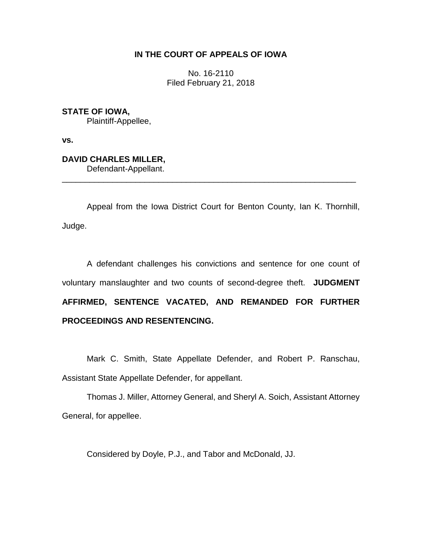### **IN THE COURT OF APPEALS OF IOWA**

No. 16-2110 Filed February 21, 2018

**STATE OF IOWA,** Plaintiff-Appellee,

**vs.**

## **DAVID CHARLES MILLER,**

Defendant-Appellant.

Appeal from the Iowa District Court for Benton County, Ian K. Thornhill, Judge.

\_\_\_\_\_\_\_\_\_\_\_\_\_\_\_\_\_\_\_\_\_\_\_\_\_\_\_\_\_\_\_\_\_\_\_\_\_\_\_\_\_\_\_\_\_\_\_\_\_\_\_\_\_\_\_\_\_\_\_\_\_\_\_\_

A defendant challenges his convictions and sentence for one count of voluntary manslaughter and two counts of second-degree theft. **JUDGMENT AFFIRMED, SENTENCE VACATED, AND REMANDED FOR FURTHER PROCEEDINGS AND RESENTENCING.**

Mark C. Smith, State Appellate Defender, and Robert P. Ranschau, Assistant State Appellate Defender, for appellant.

Thomas J. Miller, Attorney General, and Sheryl A. Soich, Assistant Attorney General, for appellee.

Considered by Doyle, P.J., and Tabor and McDonald, JJ.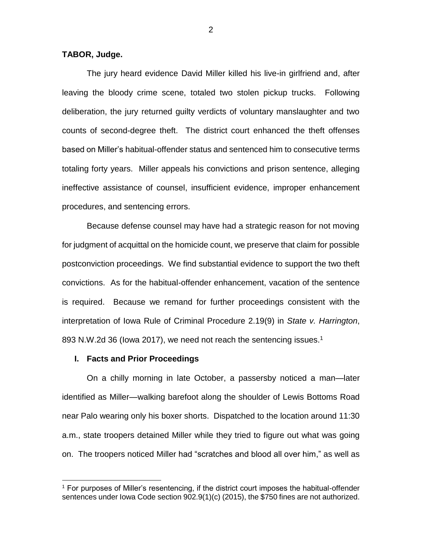#### **TABOR, Judge.**

The jury heard evidence David Miller killed his live-in girlfriend and, after leaving the bloody crime scene, totaled two stolen pickup trucks. Following deliberation, the jury returned guilty verdicts of voluntary manslaughter and two counts of second-degree theft. The district court enhanced the theft offenses based on Miller's habitual-offender status and sentenced him to consecutive terms totaling forty years. Miller appeals his convictions and prison sentence, alleging ineffective assistance of counsel, insufficient evidence, improper enhancement procedures, and sentencing errors.

Because defense counsel may have had a strategic reason for not moving for judgment of acquittal on the homicide count, we preserve that claim for possible postconviction proceedings. We find substantial evidence to support the two theft convictions. As for the habitual-offender enhancement, vacation of the sentence is required. Because we remand for further proceedings consistent with the interpretation of Iowa Rule of Criminal Procedure 2.19(9) in *State v. Harrington*, 893 N.W.2d 36 (lowa 2017), we need not reach the sentencing issues.<sup>1</sup>

#### **I. Facts and Prior Proceedings**

 $\overline{a}$ 

On a chilly morning in late October, a passersby noticed a man—later identified as Miller—walking barefoot along the shoulder of Lewis Bottoms Road near Palo wearing only his boxer shorts. Dispatched to the location around 11:30 a.m., state troopers detained Miller while they tried to figure out what was going on. The troopers noticed Miller had "scratches and blood all over him," as well as

<sup>&</sup>lt;sup>1</sup> For purposes of Miller's resentencing, if the district court imposes the habitual-offender sentences under Iowa Code section 902.9(1)(c) (2015), the \$750 fines are not authorized.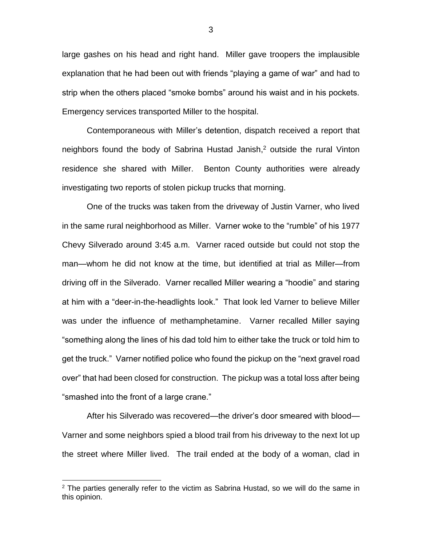large gashes on his head and right hand. Miller gave troopers the implausible explanation that he had been out with friends "playing a game of war" and had to strip when the others placed "smoke bombs" around his waist and in his pockets. Emergency services transported Miller to the hospital.

Contemporaneous with Miller's detention, dispatch received a report that neighbors found the body of Sabrina Hustad Janish, $<sup>2</sup>$  outside the rural Vinton</sup> residence she shared with Miller. Benton County authorities were already investigating two reports of stolen pickup trucks that morning.

One of the trucks was taken from the driveway of Justin Varner, who lived in the same rural neighborhood as Miller. Varner woke to the "rumble" of his 1977 Chevy Silverado around 3:45 a.m. Varner raced outside but could not stop the man—whom he did not know at the time, but identified at trial as Miller—from driving off in the Silverado. Varner recalled Miller wearing a "hoodie" and staring at him with a "deer-in-the-headlights look." That look led Varner to believe Miller was under the influence of methamphetamine. Varner recalled Miller saying "something along the lines of his dad told him to either take the truck or told him to get the truck." Varner notified police who found the pickup on the "next gravel road over" that had been closed for construction. The pickup was a total loss after being "smashed into the front of a large crane."

After his Silverado was recovered—the driver's door smeared with blood— Varner and some neighbors spied a blood trail from his driveway to the next lot up the street where Miller lived. The trail ended at the body of a woman, clad in

 $2$  The parties generally refer to the victim as Sabrina Hustad, so we will do the same in this opinion.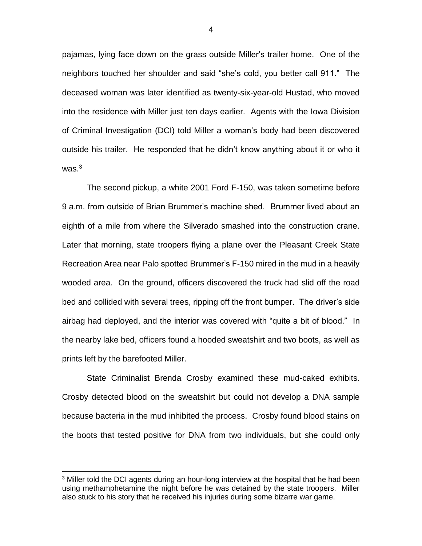pajamas, lying face down on the grass outside Miller's trailer home. One of the neighbors touched her shoulder and said "she's cold, you better call 911." The deceased woman was later identified as twenty-six-year-old Hustad, who moved into the residence with Miller just ten days earlier. Agents with the Iowa Division of Criminal Investigation (DCI) told Miller a woman's body had been discovered outside his trailer. He responded that he didn't know anything about it or who it was. $3$ 

The second pickup, a white 2001 Ford F-150, was taken sometime before 9 a.m. from outside of Brian Brummer's machine shed. Brummer lived about an eighth of a mile from where the Silverado smashed into the construction crane. Later that morning, state troopers flying a plane over the Pleasant Creek State Recreation Area near Palo spotted Brummer's F-150 mired in the mud in a heavily wooded area. On the ground, officers discovered the truck had slid off the road bed and collided with several trees, ripping off the front bumper. The driver's side airbag had deployed, and the interior was covered with "quite a bit of blood." In the nearby lake bed, officers found a hooded sweatshirt and two boots, as well as prints left by the barefooted Miller.

State Criminalist Brenda Crosby examined these mud-caked exhibits. Crosby detected blood on the sweatshirt but could not develop a DNA sample because bacteria in the mud inhibited the process. Crosby found blood stains on the boots that tested positive for DNA from two individuals, but she could only

 $3$  Miller told the DCI agents during an hour-long interview at the hospital that he had been using methamphetamine the night before he was detained by the state troopers. Miller also stuck to his story that he received his injuries during some bizarre war game.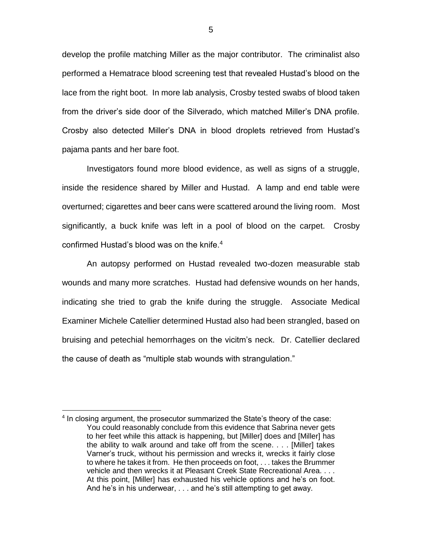develop the profile matching Miller as the major contributor. The criminalist also performed a Hematrace blood screening test that revealed Hustad's blood on the lace from the right boot. In more lab analysis, Crosby tested swabs of blood taken from the driver's side door of the Silverado, which matched Miller's DNA profile. Crosby also detected Miller's DNA in blood droplets retrieved from Hustad's pajama pants and her bare foot.

Investigators found more blood evidence, as well as signs of a struggle, inside the residence shared by Miller and Hustad. A lamp and end table were overturned; cigarettes and beer cans were scattered around the living room. Most significantly, a buck knife was left in a pool of blood on the carpet. Crosby confirmed Hustad's blood was on the knife.<sup>4</sup>

An autopsy performed on Hustad revealed two-dozen measurable stab wounds and many more scratches. Hustad had defensive wounds on her hands, indicating she tried to grab the knife during the struggle. Associate Medical Examiner Michele Catellier determined Hustad also had been strangled, based on bruising and petechial hemorrhages on the vicitm's neck. Dr. Catellier declared the cause of death as "multiple stab wounds with strangulation."

<sup>&</sup>lt;sup>4</sup> In closing argument, the prosecutor summarized the State's theory of the case: You could reasonably conclude from this evidence that Sabrina never gets to her feet while this attack is happening, but [Miller] does and [Miller] has the ability to walk around and take off from the scene. . . . [Miller] takes Varner's truck, without his permission and wrecks it, wrecks it fairly close to where he takes it from. He then proceeds on foot, . . . takes the Brummer vehicle and then wrecks it at Pleasant Creek State Recreational Area. . . . At this point, [Miller] has exhausted his vehicle options and he's on foot. And he's in his underwear, . . . and he's still attempting to get away.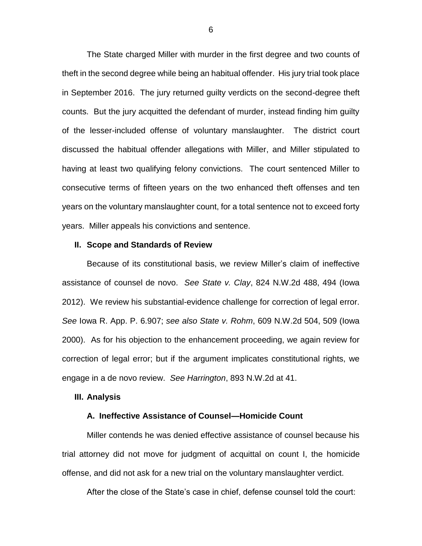The State charged Miller with murder in the first degree and two counts of theft in the second degree while being an habitual offender. His jury trial took place in September 2016. The jury returned guilty verdicts on the second-degree theft counts. But the jury acquitted the defendant of murder, instead finding him guilty of the lesser-included offense of voluntary manslaughter. The district court discussed the habitual offender allegations with Miller, and Miller stipulated to having at least two qualifying felony convictions. The court sentenced Miller to consecutive terms of fifteen years on the two enhanced theft offenses and ten years on the voluntary manslaughter count, for a total sentence not to exceed forty years. Miller appeals his convictions and sentence.

#### **II. Scope and Standards of Review**

Because of its constitutional basis, we review Miller's claim of ineffective assistance of counsel de novo. *See State v. Clay*, 824 N.W.2d 488, 494 (Iowa 2012). We review his substantial-evidence challenge for correction of legal error. *See* Iowa R. App. P. 6.907; *see also State v. Rohm*, 609 N.W.2d 504, 509 (Iowa 2000). As for his objection to the enhancement proceeding, we again review for correction of legal error; but if the argument implicates constitutional rights, we engage in a de novo review. *See Harrington*, 893 N.W.2d at 41.

#### **III. Analysis**

#### **A. Ineffective Assistance of Counsel—Homicide Count**

Miller contends he was denied effective assistance of counsel because his trial attorney did not move for judgment of acquittal on count I, the homicide offense, and did not ask for a new trial on the voluntary manslaughter verdict.

After the close of the State's case in chief, defense counsel told the court: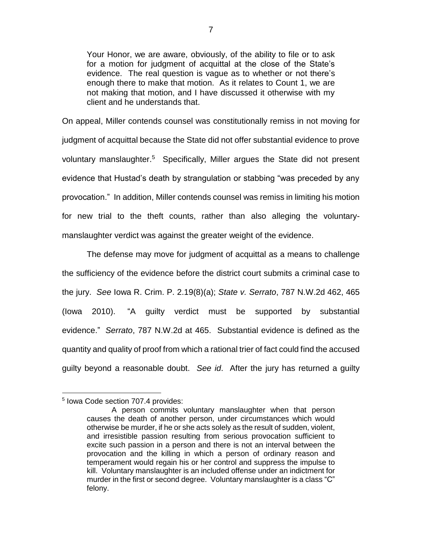Your Honor, we are aware, obviously, of the ability to file or to ask for a motion for judgment of acquittal at the close of the State's evidence. The real question is vague as to whether or not there's enough there to make that motion. As it relates to Count 1, we are not making that motion, and I have discussed it otherwise with my client and he understands that.

On appeal, Miller contends counsel was constitutionally remiss in not moving for judgment of acquittal because the State did not offer substantial evidence to prove voluntary manslaughter.<sup>5</sup> Specifically, Miller argues the State did not present evidence that Hustad's death by strangulation or stabbing "was preceded by any provocation." In addition, Miller contends counsel was remiss in limiting his motion for new trial to the theft counts, rather than also alleging the voluntarymanslaughter verdict was against the greater weight of the evidence.

The defense may move for judgment of acquittal as a means to challenge the sufficiency of the evidence before the district court submits a criminal case to the jury. *See* Iowa R. Crim. P. 2.19(8)(a); *State v. Serrato*, 787 N.W.2d 462, 465 (Iowa 2010). "A guilty verdict must be supported by substantial evidence." *Serrato*, 787 N.W.2d at 465. Substantial evidence is defined as the quantity and quality of proof from which a rational trier of fact could find the accused guilty beyond a reasonable doubt. *See id*. After the jury has returned a guilty

 $\overline{a}$ 5 Iowa Code section 707.4 provides:

A person commits voluntary manslaughter when that person causes the death of another person, under circumstances which would otherwise be murder, if he or she acts solely as the result of sudden, violent, and irresistible passion resulting from serious provocation sufficient to excite such passion in a person and there is not an interval between the provocation and the killing in which a person of ordinary reason and temperament would regain his or her control and suppress the impulse to kill. Voluntary manslaughter is an included offense under an indictment for murder in the first or second degree. Voluntary manslaughter is a class "C" felony.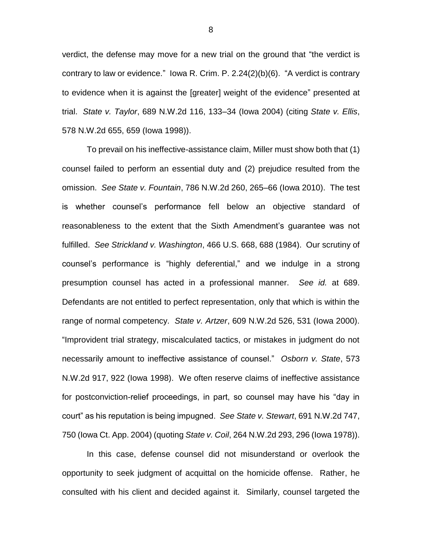verdict, the defense may move for a new trial on the ground that "the verdict is contrary to law or evidence." Iowa R. Crim. P. 2.24(2)(b)(6). "A verdict is contrary to evidence when it is against the [greater] weight of the evidence" presented at trial. *State v. Taylor*, 689 N.W.2d 116, 133–34 (Iowa 2004) (citing *State v. Ellis*, 578 N.W.2d 655, 659 (Iowa 1998)).

To prevail on his ineffective-assistance claim, Miller must show both that (1) counsel failed to perform an essential duty and (2) prejudice resulted from the omission. *See State v. Fountain*, 786 N.W.2d 260, 265–66 (Iowa 2010). The test is whether counsel's performance fell below an objective standard of reasonableness to the extent that the Sixth Amendment's guarantee was not fulfilled. *See Strickland v. Washington*, 466 U.S. 668, 688 (1984). Our scrutiny of counsel's performance is "highly deferential," and we indulge in a strong presumption counsel has acted in a professional manner. *See id.* at 689. Defendants are not entitled to perfect representation, only that which is within the range of normal competency. *State v. Artzer*, 609 N.W.2d 526, 531 (Iowa 2000). "Improvident trial strategy, miscalculated tactics, or mistakes in judgment do not necessarily amount to ineffective assistance of counsel." *Osborn v. State*, 573 N.W.2d 917, 922 (Iowa 1998). We often reserve claims of ineffective assistance for postconviction-relief proceedings, in part, so counsel may have his "day in court" as his reputation is being impugned. *See State v. Stewart*, 691 N.W.2d 747, 750 (Iowa Ct. App. 2004) (quoting *State v. Coil*, 264 N.W.2d 293, 296 (Iowa 1978)).

In this case, defense counsel did not misunderstand or overlook the opportunity to seek judgment of acquittal on the homicide offense. Rather, he consulted with his client and decided against it. Similarly, counsel targeted the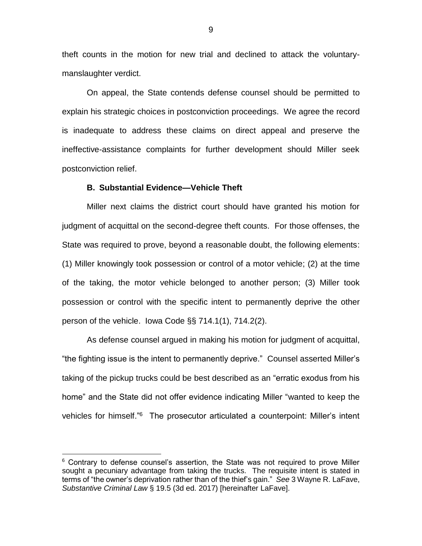theft counts in the motion for new trial and declined to attack the voluntarymanslaughter verdict.

On appeal, the State contends defense counsel should be permitted to explain his strategic choices in postconviction proceedings. We agree the record is inadequate to address these claims on direct appeal and preserve the ineffective-assistance complaints for further development should Miller seek postconviction relief.

#### **B. Substantial Evidence—Vehicle Theft**

Miller next claims the district court should have granted his motion for judgment of acquittal on the second-degree theft counts. For those offenses, the State was required to prove, beyond a reasonable doubt, the following elements: (1) Miller knowingly took possession or control of a motor vehicle; (2) at the time of the taking, the motor vehicle belonged to another person; (3) Miller took possession or control with the specific intent to permanently deprive the other person of the vehicle. Iowa Code §§ 714.1(1), 714.2(2).

As defense counsel argued in making his motion for judgment of acquittal, "the fighting issue is the intent to permanently deprive." Counsel asserted Miller's taking of the pickup trucks could be best described as an "erratic exodus from his home" and the State did not offer evidence indicating Miller "wanted to keep the vehicles for himself."<sup>6</sup> The prosecutor articulated a counterpoint: Miller's intent

 $6$  Contrary to defense counsel's assertion, the State was not required to prove Miller sought a pecuniary advantage from taking the trucks. The requisite intent is stated in terms of "the owner's deprivation rather than of the thief's gain." *See* 3 Wayne R. LaFave, *Substantive Criminal Law* § 19.5 (3d ed. 2017) [hereinafter LaFave].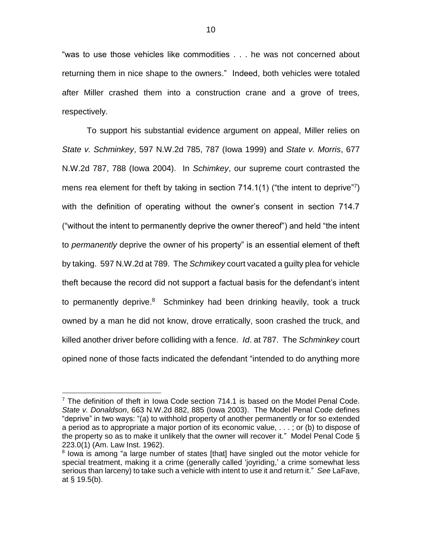"was to use those vehicles like commodities . . . he was not concerned about returning them in nice shape to the owners." Indeed, both vehicles were totaled after Miller crashed them into a construction crane and a grove of trees, respectively.

To support his substantial evidence argument on appeal, Miller relies on *State v. Schminkey*, 597 N.W.2d 785, 787 (Iowa 1999) and *State v. Morris*, 677 N.W.2d 787, 788 (Iowa 2004). In *Schimkey*, our supreme court contrasted the mens rea element for theft by taking in section  $714.1(1)$  ("the intent to deprive"?) with the definition of operating without the owner's consent in section 714.7 ("without the intent to permanently deprive the owner thereof") and held "the intent to *permanently* deprive the owner of his property" is an essential element of theft by taking. 597 N.W.2d at 789. The *Schmikey* court vacated a guilty plea for vehicle theft because the record did not support a factual basis for the defendant's intent to permanently deprive.<sup>8</sup> Schminkey had been drinking heavily, took a truck owned by a man he did not know, drove erratically, soon crashed the truck, and killed another driver before colliding with a fence. *Id*. at 787. The *Schminkey* court opined none of those facts indicated the defendant "intended to do anything more

 $7$  The definition of theft in Iowa Code section 714.1 is based on the Model Penal Code. *State v. Donaldson*, 663 N.W.2d 882, 885 (Iowa 2003). The Model Penal Code defines "deprive" in two ways: "(a) to withhold property of another permanently or for so extended a period as to appropriate a major portion of its economic value, . . . ; or (b) to dispose of the property so as to make it unlikely that the owner will recover it." Model Penal Code § 223.0(1) (Am. Law Inst. 1962).

<sup>&</sup>lt;sup>8</sup> lowa is among "a large number of states [that] have singled out the motor vehicle for special treatment, making it a crime (generally called 'joyriding,' a crime somewhat less serious than larceny) to take such a vehicle with intent to use it and return it." *See* LaFave, at § 19.5(b).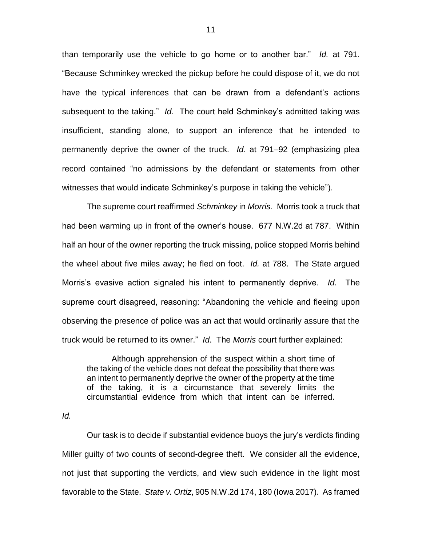than temporarily use the vehicle to go home or to another bar." *Id.* at 791. "Because Schminkey wrecked the pickup before he could dispose of it, we do not have the typical inferences that can be drawn from a defendant's actions subsequent to the taking." *Id*. The court held Schminkey's admitted taking was insufficient, standing alone, to support an inference that he intended to permanently deprive the owner of the truck. *Id*. at 791–92 (emphasizing plea record contained "no admissions by the defendant or statements from other witnesses that would indicate Schminkey's purpose in taking the vehicle").

The supreme court reaffirmed *Schminkey* in *Morris*. Morris took a truck that had been warming up in front of the owner's house. 677 N.W.2d at 787. Within half an hour of the owner reporting the truck missing, police stopped Morris behind the wheel about five miles away; he fled on foot. *Id.* at 788. The State argued Morris's evasive action signaled his intent to permanently deprive. *Id.* The supreme court disagreed, reasoning: "Abandoning the vehicle and fleeing upon observing the presence of police was an act that would ordinarily assure that the truck would be returned to its owner." *Id*. The *Morris* court further explained:

Although apprehension of the suspect within a short time of the taking of the vehicle does not defeat the possibility that there was an intent to permanently deprive the owner of the property at the time of the taking, it is a circumstance that severely limits the circumstantial evidence from which that intent can be inferred.

*Id.*

Our task is to decide if substantial evidence buoys the jury's verdicts finding Miller guilty of two counts of second-degree theft. We consider all the evidence, not just that supporting the verdicts, and view such evidence in the light most favorable to the State. *State v. Ortiz*, 905 N.W.2d 174, 180 (Iowa 2017). As framed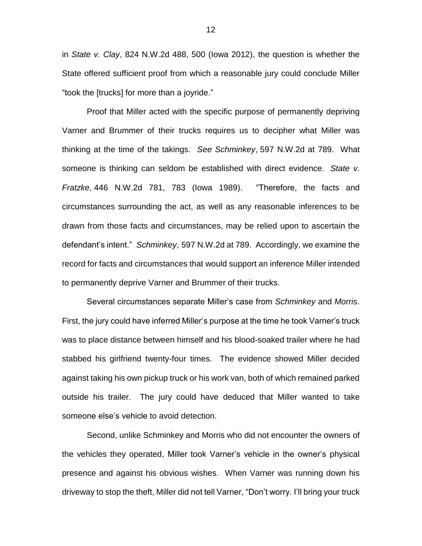in *State v. Clay*, 824 N.W.2d 488, 500 (Iowa 2012), the question is whether the State offered sufficient proof from which a reasonable jury could conclude Miller "took the [trucks] for more than a joyride."

Proof that Miller acted with the specific purpose of permanently depriving Varner and Brummer of their trucks requires us to decipher what Miller was thinking at the time of the takings. *See Schminkey*, 597 N.W.2d at 789. What someone is thinking can seldom be established with direct evidence. *State v. Fratzke*, 446 N.W.2d 781, 783 (Iowa 1989). "Therefore, the facts and circumstances surrounding the act, as well as any reasonable inferences to be drawn from those facts and circumstances, may be relied upon to ascertain the defendant's intent." *Schminkey*, 597 N.W.2d at 789. Accordingly, we examine the record for facts and circumstances that would support an inference Miller intended to permanently deprive Varner and Brummer of their trucks.

Several circumstances separate Miller's case from *Schminkey* and *Morris*. First, the jury could have inferred Miller's purpose at the time he took Varner's truck was to place distance between himself and his blood-soaked trailer where he had stabbed his girlfriend twenty-four times. The evidence showed Miller decided against taking his own pickup truck or his work van, both of which remained parked outside his trailer. The jury could have deduced that Miller wanted to take someone else's vehicle to avoid detection.

Second, unlike Schminkey and Morris who did not encounter the owners of the vehicles they operated, Miller took Varner's vehicle in the owner's physical presence and against his obvious wishes. When Varner was running down his driveway to stop the theft, Miller did not tell Varner, "Don't worry. I'll bring your truck

12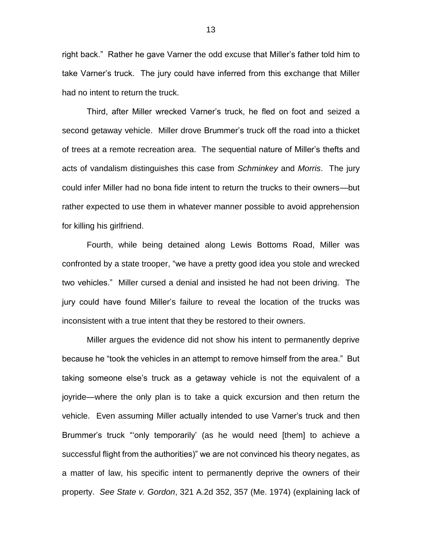right back." Rather he gave Varner the odd excuse that Miller's father told him to take Varner's truck. The jury could have inferred from this exchange that Miller had no intent to return the truck.

Third, after Miller wrecked Varner's truck, he fled on foot and seized a second getaway vehicle. Miller drove Brummer's truck off the road into a thicket of trees at a remote recreation area. The sequential nature of Miller's thefts and acts of vandalism distinguishes this case from *Schminkey* and *Morris*. The jury could infer Miller had no bona fide intent to return the trucks to their owners—but rather expected to use them in whatever manner possible to avoid apprehension for killing his girlfriend.

Fourth, while being detained along Lewis Bottoms Road, Miller was confronted by a state trooper, "we have a pretty good idea you stole and wrecked two vehicles." Miller cursed a denial and insisted he had not been driving. The jury could have found Miller's failure to reveal the location of the trucks was inconsistent with a true intent that they be restored to their owners.

Miller argues the evidence did not show his intent to permanently deprive because he "took the vehicles in an attempt to remove himself from the area." But taking someone else's truck as a getaway vehicle is not the equivalent of a joyride—where the only plan is to take a quick excursion and then return the vehicle. Even assuming Miller actually intended to use Varner's truck and then Brummer's truck "'only temporarily' (as he would need [them] to achieve a successful flight from the authorities)" we are not convinced his theory negates, as a matter of law, his specific intent to permanently deprive the owners of their property. *See State v. Gordon*, 321 A.2d 352, 357 (Me. 1974) (explaining lack of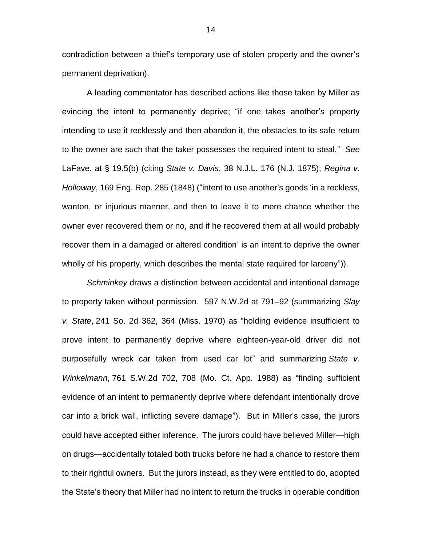contradiction between a thief's temporary use of stolen property and the owner's permanent deprivation).

A leading commentator has described actions like those taken by Miller as evincing the intent to permanently deprive; "if one takes another's property intending to use it recklessly and then abandon it, the obstacles to its safe return to the owner are such that the taker possesses the required intent to steal." *See* LaFave, at § 19.5(b) (citing *State v. Davis*, 38 N.J.L. 176 (N.J. 1875); *Regina v. Holloway*, 169 Eng. Rep. 285 (1848) ("intent to use another's goods 'in a reckless, wanton, or injurious manner, and then to leave it to mere chance whether the owner ever recovered them or no, and if he recovered them at all would probably recover them in a damaged or altered condition' is an intent to deprive the owner wholly of his property, which describes the mental state required for larceny")).

*Schminkey* draws a distinction between accidental and intentional damage to property taken without permission. 597 N.W.2d at 791–92 (summarizing *Slay v. State*, 241 So. 2d 362, 364 (Miss. 1970) as "holding evidence insufficient to prove intent to permanently deprive where eighteen-year-old driver did not purposefully wreck car taken from used car lot" and summarizing *State v. Winkelmann*, 761 S.W.2d 702, 708 (Mo. Ct. App. 1988) as "finding sufficient evidence of an intent to permanently deprive where defendant intentionally drove car into a brick wall, inflicting severe damage"). But in Miller's case, the jurors could have accepted either inference. The jurors could have believed Miller—high on drugs—accidentally totaled both trucks before he had a chance to restore them to their rightful owners. But the jurors instead, as they were entitled to do, adopted the State's theory that Miller had no intent to return the trucks in operable condition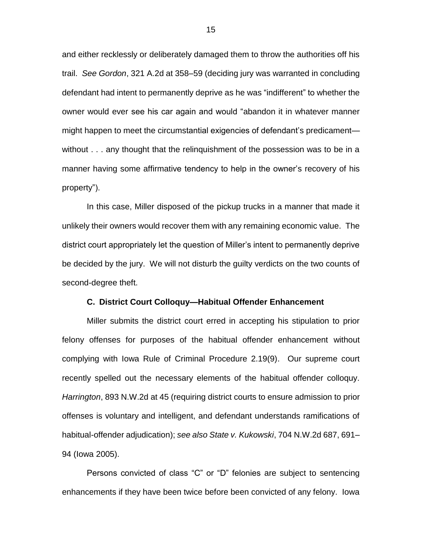and either recklessly or deliberately damaged them to throw the authorities off his trail. *See Gordon*, 321 A.2d at 358–59 (deciding jury was warranted in concluding defendant had intent to permanently deprive as he was "indifferent" to whether the owner would ever see his car again and would "abandon it in whatever manner might happen to meet the circumstantial exigencies of defendant's predicament without . . . any thought that the relinquishment of the possession was to be in a manner having some affirmative tendency to help in the owner's recovery of his property").

In this case, Miller disposed of the pickup trucks in a manner that made it unlikely their owners would recover them with any remaining economic value. The district court appropriately let the question of Miller's intent to permanently deprive be decided by the jury. We will not disturb the guilty verdicts on the two counts of second-degree theft.

#### **C. District Court Colloquy—Habitual Offender Enhancement**

Miller submits the district court erred in accepting his stipulation to prior felony offenses for purposes of the habitual offender enhancement without complying with Iowa Rule of Criminal Procedure 2.19(9). Our supreme court recently spelled out the necessary elements of the habitual offender colloquy. *Harrington*, 893 N.W.2d at 45 (requiring district courts to ensure admission to prior offenses is voluntary and intelligent, and defendant understands ramifications of habitual-offender adjudication); *see also State v. Kukowski*, 704 N.W.2d 687, 691– 94 (Iowa 2005).

Persons convicted of class "C" or "D" felonies are subject to sentencing enhancements if they have been twice before been convicted of any felony. Iowa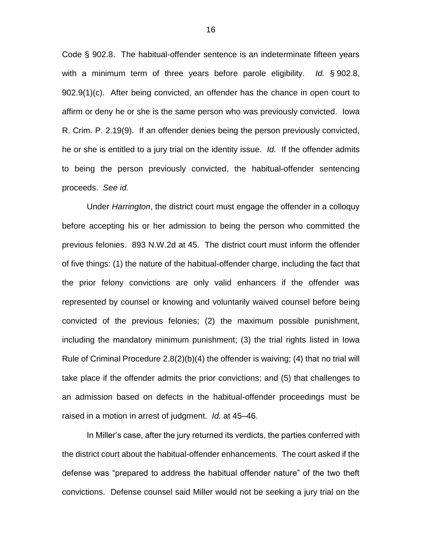Code § 902.8. The habitual-offender sentence is an indeterminate fifteen years with a minimum term of three years before parole eligibility. *Id.* § 902.8, 902.9(1)(c). After being convicted, an offender has the chance in open court to affirm or deny he or she is the same person who was previously convicted. Iowa R. Crim. P. 2.19(9). If an offender denies being the person previously convicted, he or she is entitled to a jury trial on the identity issue. *Id.* If the offender admits to being the person previously convicted, the habitual-offender sentencing proceeds. *See id.*

Under *Harrington*, the district court must engage the offender in a colloquy before accepting his or her admission to being the person who committed the previous felonies. 893 N.W.2d at 45. The district court must inform the offender of five things: (1) the nature of the habitual-offender charge, including the fact that the prior felony convictions are only valid enhancers if the offender was represented by counsel or knowing and voluntarily waived counsel before being convicted of the previous felonies; (2) the maximum possible punishment, including the mandatory minimum punishment; (3) the trial rights listed in Iowa Rule of Criminal Procedure  $2.8(2)(b)(4)$  the offender is waiving; (4) that no trial will take place if the offender admits the prior convictions; and (5) that challenges to an admission based on defects in the habitual-offender proceedings must be raised in a motion in arrest of judgment. *Id.* at 45–46.

In Miller's case, after the jury returned its verdicts, the parties conferred with the district court about the habitual-offender enhancements. The court asked if the defense was "prepared to address the habitual offender nature" of the two theft convictions. Defense counsel said Miller would not be seeking a jury trial on the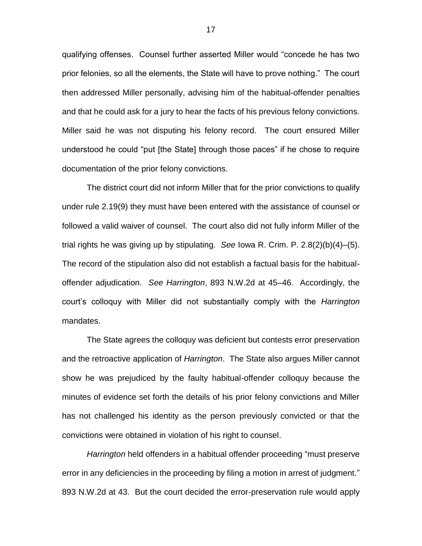qualifying offenses. Counsel further asserted Miller would "concede he has two prior felonies, so all the elements, the State will have to prove nothing." The court then addressed Miller personally, advising him of the habitual-offender penalties and that he could ask for a jury to hear the facts of his previous felony convictions. Miller said he was not disputing his felony record. The court ensured Miller understood he could "put [the State] through those paces" if he chose to require documentation of the prior felony convictions.

The district court did not inform Miller that for the prior convictions to qualify under rule 2.19(9) they must have been entered with the assistance of counsel or followed a valid waiver of counsel. The court also did not fully inform Miller of the trial rights he was giving up by stipulating. *See* Iowa R. Crim. P. 2.8(2)(b)(4)–(5). The record of the stipulation also did not establish a factual basis for the habitualoffender adjudication. *See Harrington*, 893 N.W.2d at 45–46. Accordingly, the court's colloquy with Miller did not substantially comply with the *Harrington* mandates.

The State agrees the colloquy was deficient but contests error preservation and the retroactive application of *Harrington*. The State also argues Miller cannot show he was prejudiced by the faulty habitual-offender colloquy because the minutes of evidence set forth the details of his prior felony convictions and Miller has not challenged his identity as the person previously convicted or that the convictions were obtained in violation of his right to counsel.

*Harrington* held offenders in a habitual offender proceeding "must preserve error in any deficiencies in the proceeding by filing a motion in arrest of judgment." 893 N.W.2d at 43. But the court decided the error-preservation rule would apply